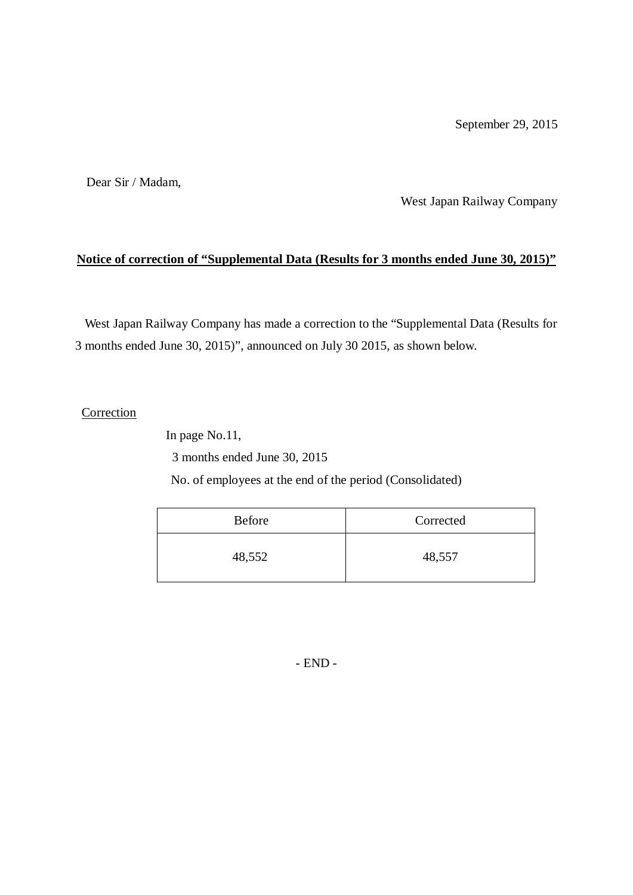Dear Sir / Madam,

West Japan Railway Company

#### **Notice of correction of "Supplemental Data (Results for 3 months ended June 30, 2015)"**

West Japan Railway Company has made a correction to the "Supplemental Data (Results for 3 months ended June 30, 2015)", announced on July 30 2015, as shown below.

#### Correction

In page No.11,

3 months ended June 30, 2015

No. of employees at the end of the period (Consolidated)

| <b>Before</b> | Corrected |
|---------------|-----------|
| 48,552        | 48,557    |

- END -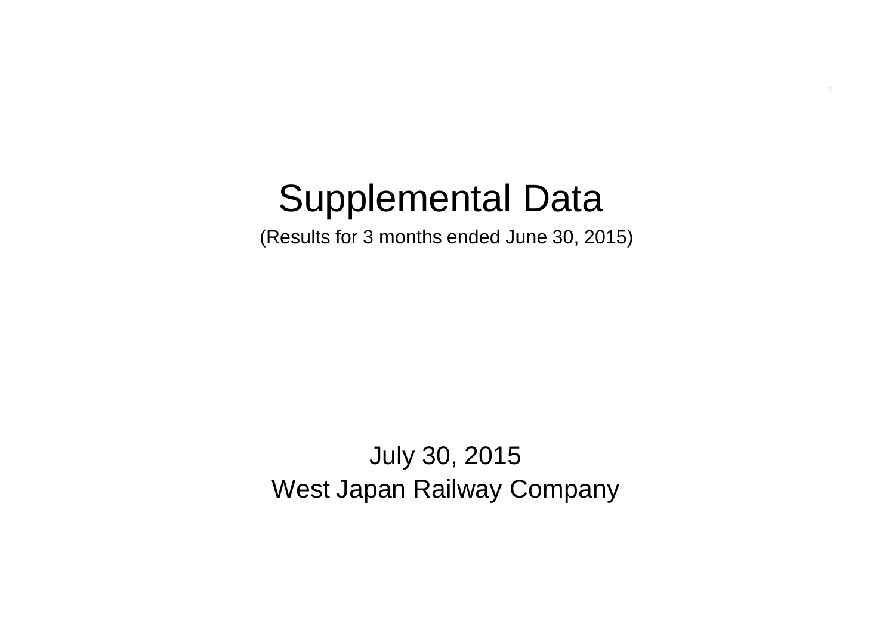# Supplemental Data

(Results for 3 months ended June 30, 2015)

July 30, 2015 West Japan Railway Company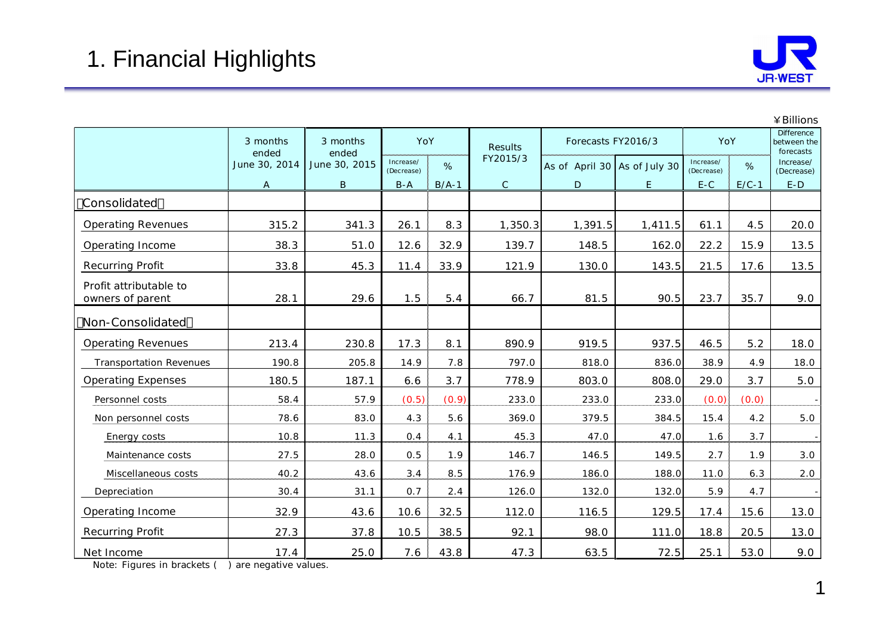

|                                            |                   |                   |                         |         |                |                              |                    |                         |         | ¥ Billions                                    |
|--------------------------------------------|-------------------|-------------------|-------------------------|---------|----------------|------------------------------|--------------------|-------------------------|---------|-----------------------------------------------|
|                                            | 3 months<br>ended | 3 months<br>ended | YoY                     |         | <b>Results</b> |                              | Forecasts FY2016/3 | YoY                     |         | <b>Difference</b><br>between the<br>forecasts |
|                                            | June 30, 2014     | June 30, 2015     | Increase/<br>(Decrease) | %       | FY2015/3       | As of April 30 As of July 30 |                    | Increase/<br>(Decrease) | %       | Increase/<br>(Decrease)                       |
|                                            | A                 | $\sf B$           | $B - A$                 | $B/A-1$ | $\mathsf{C}$   | D                            | E                  | $E-C$                   | $E/C-1$ | $E-D$                                         |
| Consolidated                               |                   |                   |                         |         |                |                              |                    |                         |         |                                               |
| <b>Operating Revenues</b>                  | 315.2             | 341.3             | 26.1                    | 8.3     | 1,350.3        | 1,391.5                      | 1,411.5            | 61.1                    | 4.5     | 20.0                                          |
| Operating Income                           | 38.3              | 51.0              | 12.6                    | 32.9    | 139.7          | 148.5                        | 162.0              | 22.2                    | 15.9    | 13.5                                          |
| <b>Recurring Profit</b>                    | 33.8              | 45.3              | 11.4                    | 33.9    | 121.9          | 130.0                        | 143.5              | 21.5                    | 17.6    | 13.5                                          |
| Profit attributable to<br>owners of parent | 28.1              | 29.6              | 1.5                     | 5.4     | 66.7           | 81.5                         | 90.5               | 23.7                    | 35.7    | 9.0                                           |
| Non-Consolidated                           |                   |                   |                         |         |                |                              |                    |                         |         |                                               |
| <b>Operating Revenues</b>                  | 213.4             | 230.8             | 17.3                    | 8.1     | 890.9          | 919.5                        | 937.5              | 46.5                    | 5.2     | 18.0                                          |
| <b>Transportation Revenues</b>             | 190.8             | 205.8             | 14.9                    | 7.8     | 797.0          | 818.0                        | 836.0              | 38.9                    | 4.9     | 18.0                                          |
| <b>Operating Expenses</b>                  | 180.5             | 187.1             | 6.6                     | 3.7     | 778.9          | 803.0                        | 808.0              | 29.0                    | 3.7     | 5.0                                           |
| Personnel costs                            | 58.4              | 57.9              | (0.5)                   | (0.9)   | 233.0          | 233.0                        | 233.0              | (0.0)                   | (0.0)   | $\overline{\phantom{a}}$                      |
| Non personnel costs                        | 78.6              | 83.0              | 4.3                     | 5.6     | 369.0          | 379.5                        | 384.5              | 15.4                    | 4.2     | 5.0                                           |
| Energy costs                               | 10.8              | 11.3              | 0.4                     | 4.1     | 45.3           | 47.0                         | 47.0               | 1.6                     | 3.7     | $\sim$                                        |
| Maintenance costs                          | 27.5              | 28.0              | 0.5                     | 1.9     | 146.7          | 146.5                        | 149.5              | 2.7                     | 1.9     | 3.0                                           |
| Miscellaneous costs                        | 40.2              | 43.6              | 3.4                     | 8.5     | 176.9          | 186.0                        | 188.0              | 11.0                    | 6.3     | 2.0                                           |
| Depreciation                               | 30.4              | 31.1              | 0.7                     | 2.4     | 126.0          | 132.0                        | 132.0              | 5.9                     | 4.7     |                                               |
| Operating Income                           | 32.9              | 43.6              | 10.6                    | 32.5    | 112.0          | 116.5                        | 129.5              | 17.4                    | 15.6    | 13.0                                          |
| <b>Recurring Profit</b>                    | 27.3              | 37.8              | 10.5                    | 38.5    | 92.1           | 98.0                         | 111.0              | 18.8                    | 20.5    | 13.0                                          |
| Net Income                                 | 17.4              | 25.0              | 7.6                     | 43.8    | 47.3           | 63.5                         | 72.5               | 25.1                    | 53.0    | 9.0                                           |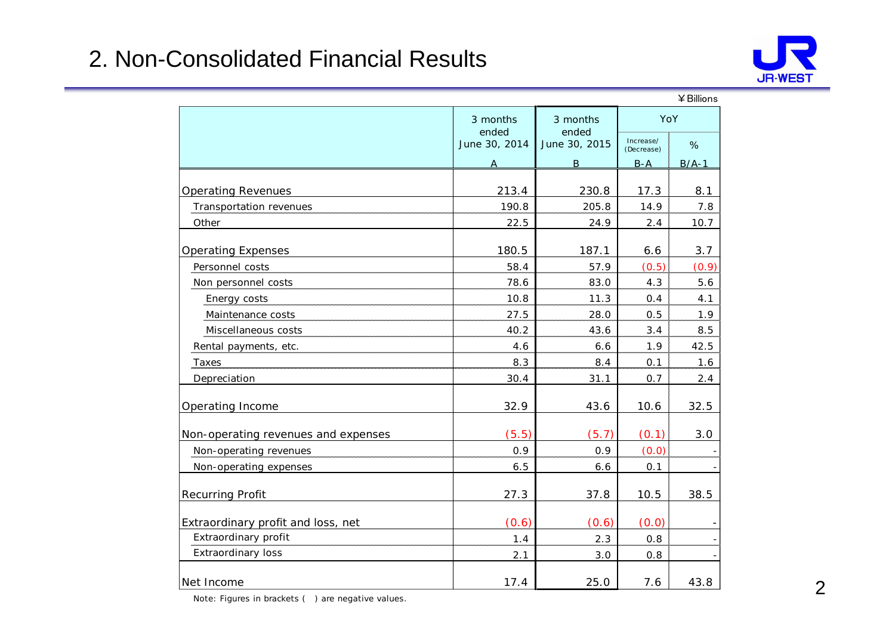#### 2. Non-Consolidated Financial Results



|                                     |                   |                   |                         | ¥ Billions |
|-------------------------------------|-------------------|-------------------|-------------------------|------------|
|                                     | 3 months<br>ended | 3 months<br>ended |                         | YoY        |
|                                     | June 30, 2014     | June 30, 2015     | Increase/<br>(Decrease) | %          |
|                                     | A                 | B                 | $B-A$                   | $B/A-1$    |
| <b>Operating Revenues</b>           | 213.4             | 230.8             | 17.3                    | 8.1        |
| Transportation revenues             | 190.8             | 205.8             | 14.9                    | 7.8        |
| Other                               | 22.5              | 24.9              | 2.4                     | 10.7       |
|                                     |                   |                   |                         |            |
| <b>Operating Expenses</b>           | 180.5             | 187.1             | 6.6                     | 3.7        |
| Personnel costs                     | 58.4              | 57.9              | (0.5)                   | (0.9)      |
| Non personnel costs                 | 78.6              | 83.0              | 4.3                     | 5.6        |
| Energy costs                        | 10.8              | 11.3              | 0.4                     | 4.1        |
| Maintenance costs                   | 27.5              | 28.0              | 0.5                     | 1.9        |
| Miscellaneous costs                 | 40.2              | 43.6              | 3.4                     | 8.5        |
| Rental payments, etc.               | 4.6               | 6.6               | 1.9                     | 42.5       |
| Taxes                               | 8.3               | 8.4               | 0.1                     | 1.6        |
| Depreciation                        | 30.4              | 31.1              | 0.7                     | 2.4        |
| Operating Income                    | 32.9              | 43.6              | 10.6                    | 32.5       |
| Non-operating revenues and expenses | (5.5)             | (5.7)             | (0.1)                   | 3.0        |
| Non-operating revenues              | 0.9               | 0.9               | (0.0)                   |            |
| Non-operating expenses              | 6.5               | 6.6               | 0.1                     |            |
| <b>Recurring Profit</b>             | 27.3              | 37.8              | 10.5                    | 38.5       |
| Extraordinary profit and loss, net  | (0.6)             | (0.6)             | (0.0)                   |            |
| Extraordinary profit                | 1.4               | 2.3               | 0.8                     |            |
| Extraordinary loss                  | 2.1               | 3.0               | 0.8                     |            |
| Net Income                          | 17.4              | 25.0              | 7.6                     | 43.8       |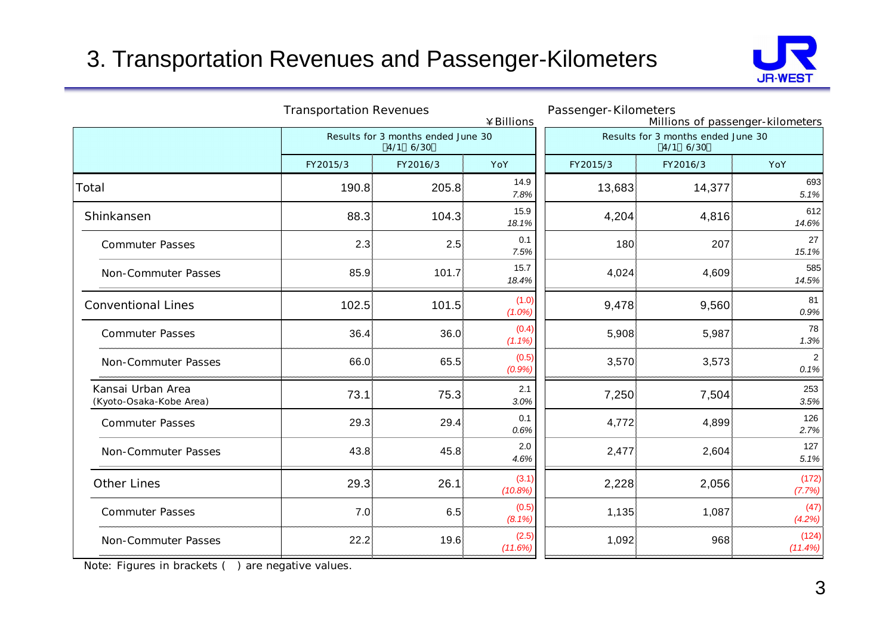## 3. Transportation Revenues and Passenger-Kilometers



|                                              | <b>Transportation Revenues</b><br>¥Billions |                                                |                    | Passenger-Kilometers |                                                | Millions of passenger-kilometers |
|----------------------------------------------|---------------------------------------------|------------------------------------------------|--------------------|----------------------|------------------------------------------------|----------------------------------|
|                                              |                                             | Results for 3 months ended June 30<br>4/1 6/30 |                    |                      | Results for 3 months ended June 30<br>4/1 6/30 |                                  |
|                                              | FY2015/3                                    | FY2016/3                                       | YoY                | FY2015/3             | FY2016/3                                       | YoY                              |
| Total                                        | 190.8                                       | 205.8                                          | 14.9<br>7.8%       | 13,683               | 14,377                                         | 693<br>5.1%                      |
| Shinkansen                                   | 88.3                                        | 104.3                                          | 15.9<br>18.1%      | 4,204                | 4,816                                          | 612<br>14.6%                     |
| <b>Commuter Passes</b>                       | 2.3                                         | 2.5                                            | 0.1<br>7.5%        | 180                  | 207                                            | 27<br>15.1%                      |
| Non-Commuter Passes                          | 85.9                                        | 101.7                                          | 15.7<br>18.4%      | 4,024                | 4,609                                          | 585<br>14.5%                     |
| <b>Conventional Lines</b>                    | 102.5                                       | 101.5                                          | (1.0)<br>$(1.0\%)$ | 9,478                | 9,560                                          | 81<br>0.9%                       |
| <b>Commuter Passes</b>                       | 36.4                                        | 36.0                                           | (0.4)<br>(1.1%)    | 5,908                | 5,987                                          | 78<br>1.3%                       |
| Non-Commuter Passes                          | 66.0                                        | 65.5                                           | (0.5)<br>(0.9%)    | 3,570                | 3,573                                          | $\overline{2}$<br>0.1%           |
| Kansai Urban Area<br>(Kyoto-Osaka-Kobe Area) | 73.1                                        | 75.3                                           | 2.1<br>3.0%        | 7,250                | 7,504                                          | 253<br>3.5%                      |
| <b>Commuter Passes</b>                       | 29.3                                        | 29.4                                           | 0.1<br>0.6%        | 4,772                | 4,899                                          | 126<br>2.7%                      |
| Non-Commuter Passes                          | 43.8                                        | 45.8                                           | 2.0<br>4.6%        | 2,477                | 2,604                                          | 127<br>5.1%                      |
| <b>Other Lines</b>                           | 29.3                                        | 26.1                                           | (3.1)<br>(10.8%)   | 2,228                | 2,056                                          | (172)<br>(7.7%)                  |
| <b>Commuter Passes</b>                       | 7.0                                         | 6.5                                            | (0.5)<br>$(8.1\%)$ | 1,135                | 1,087                                          | (47)<br>(4.2%)                   |
| Non-Commuter Passes                          | 22.2                                        | 19.6                                           | (2.5)<br>(11.6%)   | 1,092                | 968                                            | (124)<br>$(11.4\%)$              |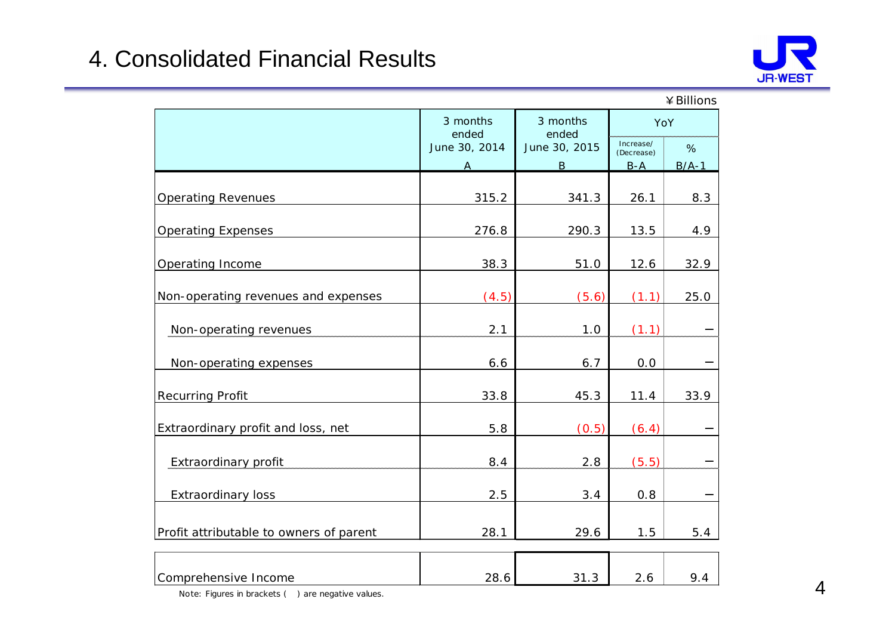## 4. Consolidated Financial Results



|                                         |                   |                   |                     | ¥ Billions |  |  |
|-----------------------------------------|-------------------|-------------------|---------------------|------------|--|--|
|                                         | 3 months<br>ended | 3 months<br>ended |                     |            |  |  |
|                                         | June 30, 2014     | June 30, 2015     |                     | %          |  |  |
|                                         | А                 | $\overline{B}$    | (Decrease)<br>$B-A$ | $B/A-1$    |  |  |
| <b>Operating Revenues</b>               | 315.2             | 341.3             | 26.1                | 8.3        |  |  |
| <b>Operating Expenses</b>               | 276.8             | 290.3             | 13.5                | 4.9        |  |  |
| Operating Income                        | 38.3              | 51.0              | 12.6                | 32.9       |  |  |
| Non-operating revenues and expenses     | (4.5)             | (5.6)             | (1.1)               | 25.0       |  |  |
| Non-operating revenues                  | 2.1               | 1.0               | (1.1)               |            |  |  |
| Non-operating expenses                  | 6.6               | 6.7               | 0.0                 |            |  |  |
| <b>Recurring Profit</b>                 | 33.8              | 45.3              | 11.4                | 33.9       |  |  |
| Extraordinary profit and loss, net      | 5.8               | (0.5)             | (6.4)               |            |  |  |
| Extraordinary profit                    | 8.4               | 2.8               | (5.5)               |            |  |  |
| Extraordinary loss                      | 2.5               | 3.4               | 0.8                 |            |  |  |
| Profit attributable to owners of parent | 28.1              | 29.6              | 1.5                 | 5.4        |  |  |
| Comprehensive Income                    | 28.6              | 31.3              | 2.6                 | 9.4        |  |  |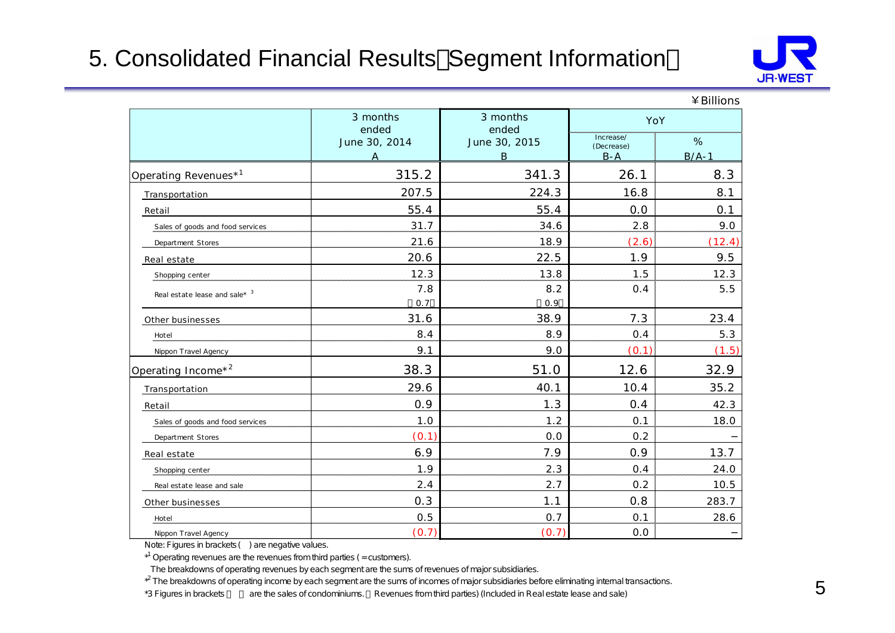## 5. Consolidated Financial Results Segment Information



|                                  |                    |                                 |                                    | ¥ BIIIIONS   |
|----------------------------------|--------------------|---------------------------------|------------------------------------|--------------|
|                                  | 3 months<br>ended  | 3 months<br>ended               | YoY                                |              |
|                                  | June 30, 2014<br>A | June 30, 2015<br>$\overline{B}$ | Increase/<br>(Decrease)<br>$B - A$ | %<br>$B/A-1$ |
| Operating Revenues* <sup>1</sup> | 315.2              | 341.3                           | 26.1                               | 8.3          |
| Transportation                   | 207.5              | 224.3                           | 16.8                               | 8.1          |
| Retail                           | 55.4               | 55.4                            | 0.0                                | 0.1          |
| Sales of goods and food services | 31.7               | 34.6                            | 2.8                                | 9.0          |
| Department Stores                | 21.6               | 18.9                            | (2.6)                              | (12.4)       |
| Real estate                      | 20.6               | 22.5                            | 1.9                                | 9.5          |
| Shopping center                  | 12.3               | 13.8                            | 1.5                                | 12.3         |
| Real estate lease and sale* $3$  | 7.8<br>0.7         | 8.2<br>0.9                      | 0.4                                | 5.5          |
| Other businesses                 | 31.6               | 38.9                            | 7.3                                | 23.4         |
| Hotel                            | 8.4                | 8.9                             | 0.4                                | 5.3          |
| Nippon Travel Agency             | 9.1                | 9.0                             | (0.1)                              | (1.5)        |
| Operating Income* <sup>2</sup>   | 38.3               | 51.0                            | 12.6                               | 32.9         |
| Transportation                   | 29.6               | 40.1                            | 10.4                               | 35.2         |
| Retail                           | 0.9                | 1.3                             | 0.4                                | 42.3         |
| Sales of goods and food services | 1.0                | 1.2                             | 0.1                                | 18.0         |
| Department Stores                | (0.1)              | 0.0                             | 0.2                                |              |
| Real estate                      | 6.9                | 7.9                             | 0.9                                | 13.7         |
| Shopping center                  | 1.9                | 2.3                             | 0.4                                | 24.0         |
| Real estate lease and sale       | 2.4                | 2.7                             | 0.2                                | 10.5         |
| Other businesses                 | 0.3                | 1.1                             | 0.8                                | 283.7        |
| Hotel                            | 0.5                | 0.7                             | 0.1                                | 28.6         |
| Nippon Travel Agency             | (0.7)              | (0.7)                           | 0.0                                |              |

Note: Figures in brackets ( ) are negative values.

 $*$ <sup>1</sup> Operating revenues are the revenues from third parties ( $=$  customers).

The breakdowns of operating revenues by each segment are the sums of revenues of major subsidiaries.

 ${}^{\ast}$ The breakdowns of operating income by each segment are the sums of incomes of major subsidiaries before eliminating internal transactions.

\*3 Figures in brackets are the sales of condominiums. Revenues from third parties) (Included in Real estate lease and sale)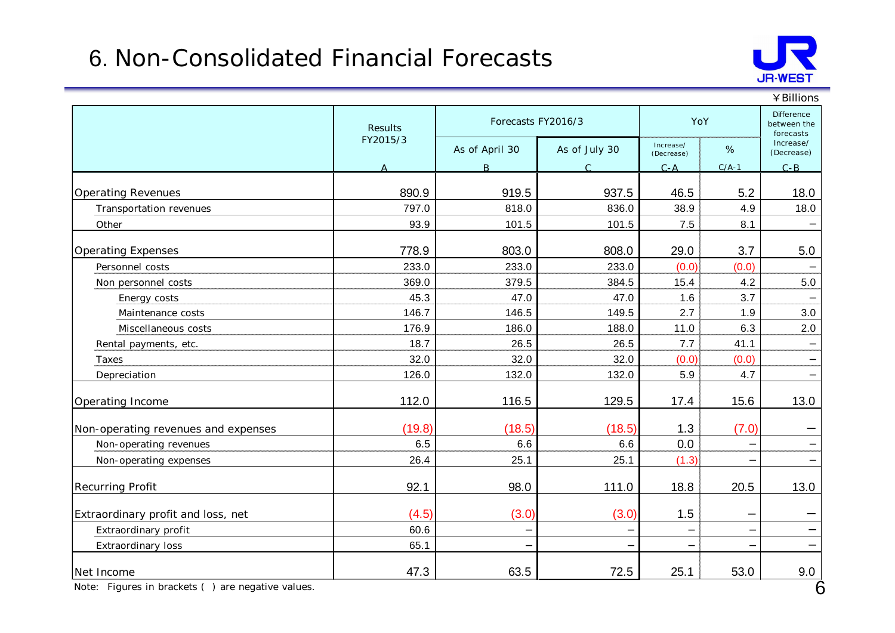## 6. Non-Consolidated Financial Forecasts



|                                     |                |                    |               |                         |         | ¥ Billions                             |
|-------------------------------------|----------------|--------------------|---------------|-------------------------|---------|----------------------------------------|
|                                     | <b>Results</b> | Forecasts FY2016/3 |               | YoY                     |         | Difference<br>between the<br>forecasts |
|                                     | FY2015/3       | As of April 30     | As of July 30 | Increase/<br>(Decrease) | $\%$    | Increase/<br>(Decrease)                |
|                                     | A              | <sub>B</sub>       | $\mathcal{C}$ | $C - A$                 | $C/A-1$ | $C - B$                                |
| <b>Operating Revenues</b>           | 890.9          | 919.5              | 937.5         | 46.5                    | 5.2     | 18.0                                   |
| Transportation revenues             | 797.0          | 818.0              | 836.0         | 38.9                    | 4.9     | 18.0                                   |
| Other                               | 93.9           | 101.5              | 101.5         | 7.5                     | 8.1     |                                        |
| <b>Operating Expenses</b>           | 778.9          | 803.0              | 808.0         | 29.0                    | 3.7     | 5.0                                    |
| Personnel costs                     | 233.0          | 233.0              | 233.0         | (0.0)                   | (0.0)   |                                        |
| Non personnel costs                 | 369.0          | 379.5              | 384.5         | 15.4                    | 4.2     | 5.0                                    |
| Energy costs                        | 45.3           | 47.0               | 47.0          | 1.6                     | 3.7     |                                        |
| Maintenance costs                   | 146.7          | 146.5              | 149.5         | 2.7                     | 1.9     | 3.0                                    |
| Miscellaneous costs                 | 176.9          | 186.0              | 188.0         | 11.0                    | 6.3     | 2.0                                    |
| Rental payments, etc.               | 18.7           | 26.5               | 26.5          | 7.7                     | 41.1    |                                        |
| Taxes                               | 32.0           | 32.0               | 32.0          | (0.0)                   | (0.0)   |                                        |
| Depreciation                        | 126.0          | 132.0              | 132.0         | 5.9                     | 4.7     |                                        |
| Operating Income                    | 112.0          | 116.5              | 129.5         | 17.4                    | 15.6    | 13.0                                   |
| Non-operating revenues and expenses | (19.8)         | (18.5)             | (18.5)        | 1.3                     | (7.0)   |                                        |
| Non-operating revenues              | 6.5            | 6.6                | 6.6           | 0.0                     |         |                                        |
| Non-operating expenses              | 26.4           | 25.1               | 25.1          | (1.3)                   |         |                                        |
| Recurring Profit                    | 92.1           | 98.0               | 111.0         | 18.8                    | 20.5    | 13.0                                   |
| Extraordinary profit and loss, net  | (4.5)          | (3.0)              | (3.0)         | 1.5                     |         |                                        |
| Extraordinary profit                | 60.6           |                    |               |                         |         |                                        |
| Extraordinary loss                  | 65.1           |                    |               |                         |         |                                        |
| Net Income                          | 47.3           | 63.5               | 72.5          | 25.1                    | 53.0    | 9.0                                    |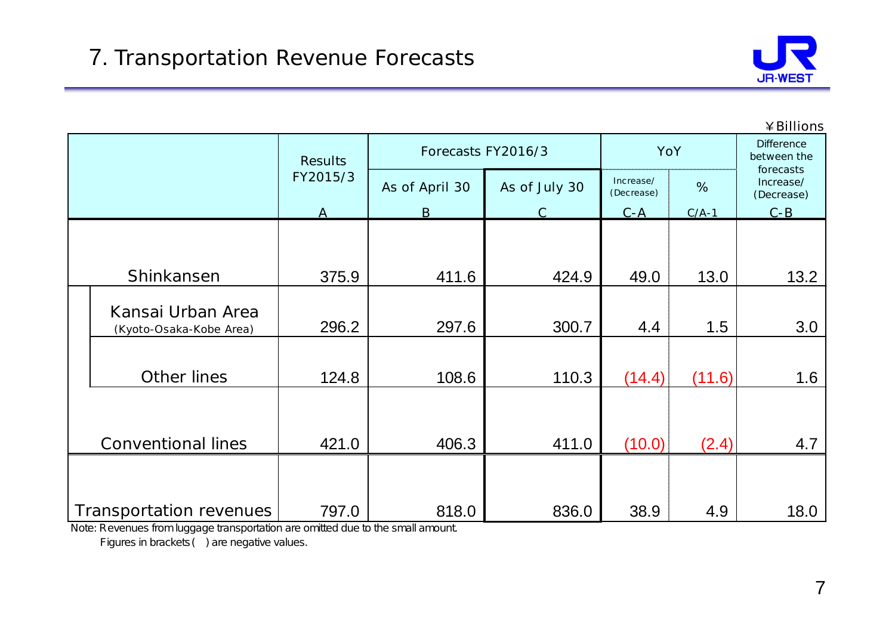

|  |                                              |                |                    |               |                         |         | ¥Billions                            |  |
|--|----------------------------------------------|----------------|--------------------|---------------|-------------------------|---------|--------------------------------------|--|
|  |                                              | <b>Results</b> | Forecasts FY2016/3 |               |                         | YoY     |                                      |  |
|  |                                              | FY2015/3       | As of April 30     | As of July 30 | Increase/<br>(Decrease) | %       | forecasts<br>Increase/<br>(Decrease) |  |
|  |                                              | A              | B                  |               | $C - A$                 | $C/A-1$ | $C - B$                              |  |
|  | Shinkansen                                   | 375.9          | 411.6              | 424.9         | 49.0                    | 13.0    | 13.2                                 |  |
|  | Kansai Urban Area<br>(Kyoto-Osaka-Kobe Area) | 296.2          | 297.6              | 300.7         | 4.4                     | 1.5     | 3.0                                  |  |
|  | Other lines                                  | 124.8          | 108.6              | 110.3         | (14.4)                  | (11.6)  | 1.6                                  |  |
|  | <b>Conventional lines</b>                    | 421.0          | 406.3              | 411.0         | (10.0)                  | (2.4)   | 4.7                                  |  |
|  | Transportation revenues                      | 797.0          | 818.0              | 836.0         | 38.9                    | 4.9     | 18.0                                 |  |

Note: Revenues from luggage transportation are omitted due to the small amount.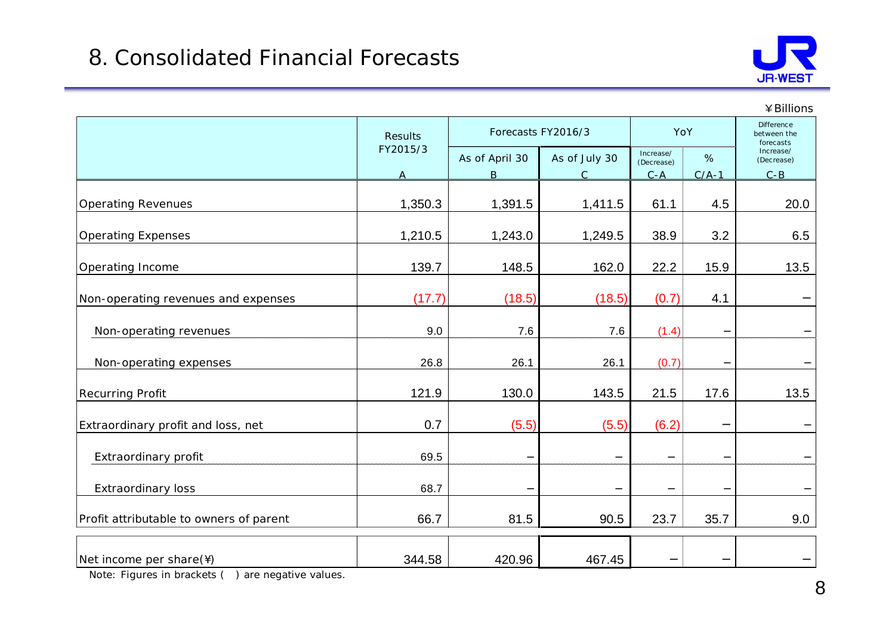

|                                         |                |                    |               |                         |         | ¥Billions                                     |
|-----------------------------------------|----------------|--------------------|---------------|-------------------------|---------|-----------------------------------------------|
|                                         | <b>Results</b> | Forecasts FY2016/3 |               |                         | YoY     | <b>Difference</b><br>between the<br>forecasts |
|                                         | FY2015/3       | As of April 30     | As of July 30 | Increase/<br>(Decrease) | $\%$    | Increase/<br>(Decrease)                       |
|                                         | $\overline{A}$ | $\mathsf{B}$       | $\mathsf{C}$  | $C - A$                 | $C/A-1$ | $C - B$                                       |
| <b>Operating Revenues</b>               | 1,350.3        | 1,391.5            | 1,411.5       | 61.1                    | 4.5     | 20.0                                          |
| <b>Operating Expenses</b>               | 1,210.5        | 1,243.0            | 1,249.5       | 38.9                    | 3.2     | 6.5                                           |
| Operating Income                        | 139.7          | 148.5              | 162.0         | 22.2                    | 15.9    | 13.5                                          |
| Non-operating revenues and expenses     | (17.7)         | (18.5)             | (18.5)        | (0.7)                   | 4.1     |                                               |
| Non-operating revenues                  | 9.0            | 7.6                | 7.6           | (1.4)                   |         |                                               |
| Non-operating expenses                  | 26.8           | 26.1               | 26.1          | (0.7)                   |         |                                               |
| <b>Recurring Profit</b>                 | 121.9          | 130.0              | 143.5         | 21.5                    | 17.6    | 13.5                                          |
| Extraordinary profit and loss, net      | 0.7            | (5.5)              | (5.5)         | (6.2)                   |         |                                               |
| Extraordinary profit                    | 69.5           |                    |               |                         |         |                                               |
| <b>Extraordinary loss</b>               | 68.7           |                    |               |                         |         |                                               |
| Profit attributable to owners of parent | 66.7           | 81.5               | 90.5          | 23.7                    | 35.7    | 9.0                                           |
| Net income per share(\)                 | 344.58         | 420.96             | 467.45        |                         |         |                                               |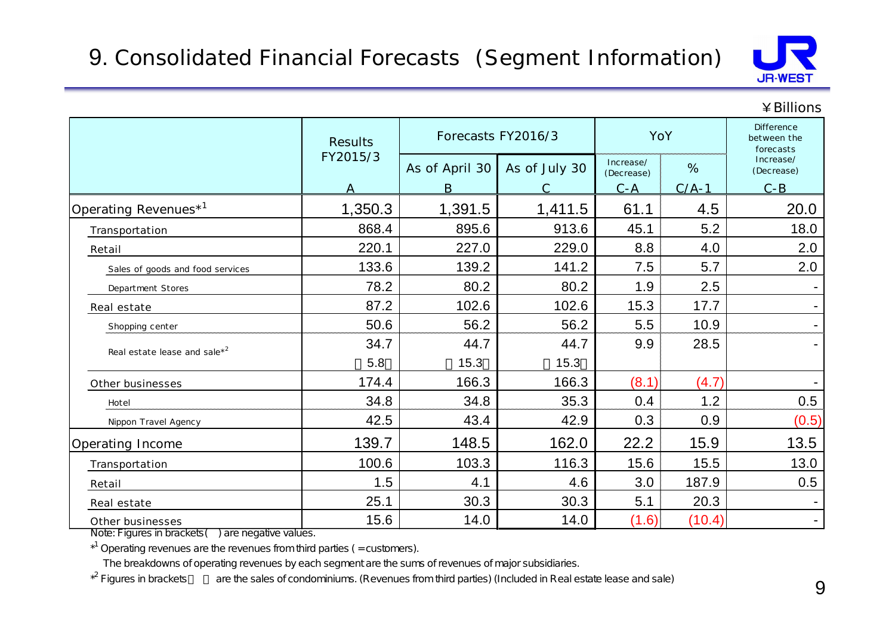

#### ¥Billions

|                                  | <b>Results</b> | Forecasts FY2016/3  |               | YoY                                |              | Difference<br>between the<br>forecasts |
|----------------------------------|----------------|---------------------|---------------|------------------------------------|--------------|----------------------------------------|
|                                  | FY2015/3<br>A  | As of April 30<br>B | As of July 30 | Increase/<br>(Decrease)<br>$C - A$ | %<br>$C/A-1$ | Increase/<br>(Decrease)<br>$C - B$     |
| Operating Revenues <sup>*1</sup> | 1,350.3        | 1,391.5             | 1,411.5       | 61.1                               | 4.5          | 20.0                                   |
| Transportation                   | 868.4          | 895.6               | 913.6         | 45.1                               | 5.2          | 18.0                                   |
| Retail                           | 220.1          | 227.0               | 229.0         | 8.8                                | 4.0          | 2.0                                    |
| Sales of goods and food services | 133.6          | 139.2               | 141.2         | 7.5                                | 5.7          | 2.0                                    |
| Department Stores                | 78.2           | 80.2                | 80.2          | 1.9                                | 2.5          |                                        |
| Real estate                      | 87.2           | 102.6               | 102.6         | 15.3                               | 17.7         |                                        |
| Shopping center                  | 50.6           | 56.2                | 56.2          | 5.5                                | 10.9         |                                        |
| Real estate lease and sale $x^2$ | 34.7           | 44.7                | 44.7          | 9.9                                | 28.5         |                                        |
|                                  | 5.8            | 15.3                | 15.3          |                                    |              |                                        |
| Other businesses                 | 174.4          | 166.3               | 166.3         | (8.1)                              | (4.7)        |                                        |
| Hotel                            | 34.8           | 34.8                | 35.3          | 0.4                                | 1.2          | 0.5                                    |
| Nippon Travel Agency             | 42.5           | 43.4                | 42.9          | 0.3                                | 0.9          | (0.5)                                  |
| Operating Income                 | 139.7          | 148.5               | 162.0         | 22.2                               | 15.9         | 13.5                                   |
| Transportation                   | 100.6          | 103.3               | 116.3         | 15.6                               | 15.5         | 13.0                                   |
| Retail                           | 1.5            | 4.1                 | 4.6           | 3.0                                | 187.9        | 0.5                                    |
| Real estate                      | 25.1           | 30.3                | 30.3          | 5.1                                | 20.3         |                                        |
| Other businesses                 | 15.6           | 14.0                | 14.0          | (1.6)                              | (10.4)       | $\blacksquare$                         |

Note: Figures in brackets( ) are negative values.

 $*$ <sup>1</sup> Operating revenues are the revenues from third parties (= customers).

The breakdowns of operating revenues by each segment are the sums of revenues of major subsidiaries.

 $*^2$  Figures in brackets are the sales of condominiums. (Revenues from third parties) (Included in Real estate lease and sale)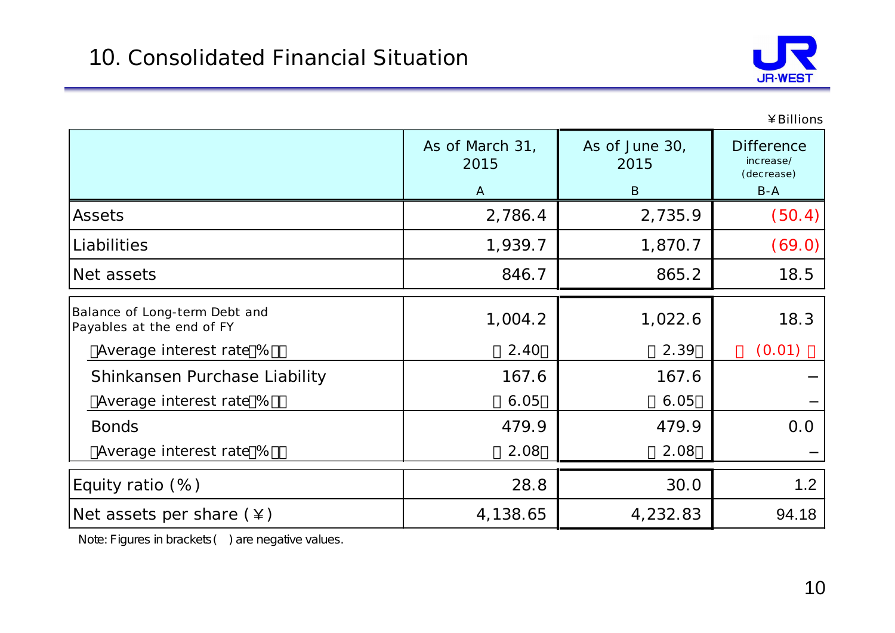

¥Billions

|                                                            | As of March 31,<br>2015 | As of June 30,<br>2015 | <b>Difference</b><br>increase/<br>(decrease) |  |
|------------------------------------------------------------|-------------------------|------------------------|----------------------------------------------|--|
|                                                            | $\mathsf{A}$            | B                      | $B-A$                                        |  |
| <b>Assets</b>                                              | 2,786.4                 | 2,735.9                | (50.4)                                       |  |
| Liabilities                                                | 1,939.7                 | 1,870.7                | (69.0)                                       |  |
| Net assets                                                 | 846.7                   | 865.2                  | 18.5                                         |  |
| Balance of Long-term Debt and<br>Payables at the end of FY | 1,004.2                 | 1,022.6                | 18.3                                         |  |
| Average interest rate %                                    | 2.40                    | 2.39                   | (0.01)                                       |  |
| Shinkansen Purchase Liability                              | 167.6                   | 167.6                  |                                              |  |
| Average interest rate %                                    | 6.05                    | 6.05                   |                                              |  |
| <b>Bonds</b>                                               | 479.9                   | 479.9                  | 0.0                                          |  |
| Average interest rate %                                    | 2.08                    | 2.08                   |                                              |  |
| Equity ratio $(\%)$                                        | 28.8                    | 30.0                   | 1.2                                          |  |
| Net assets per share $(*)$                                 | 4,138.65                | 4,232.83               | 94.18                                        |  |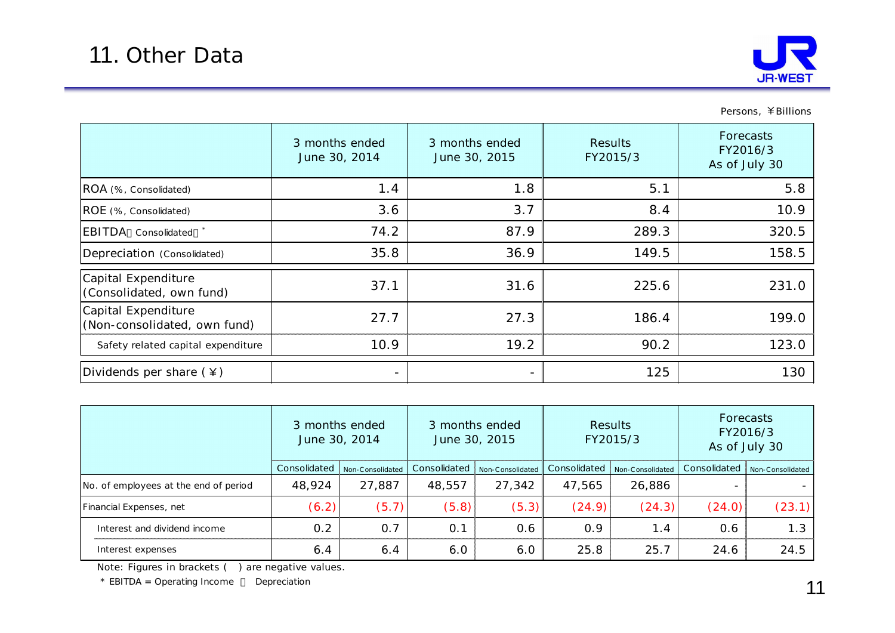

Persons, ¥Billions

|                                                     | 3 months ended<br>June 30, 2014 | 3 months ended<br>June 30, 2015 | <b>Results</b><br>FY2015/3 | Forecasts<br>FY2016/3<br>As of July 30 |
|-----------------------------------------------------|---------------------------------|---------------------------------|----------------------------|----------------------------------------|
| ROA (%, Consolidated)                               | 1.4                             | 1.8                             | 5.1                        | 5.8                                    |
| ROE (%, Consolidated)                               | 3.6                             | 3.7                             | 8.4                        | 10.9                                   |
| EBITDA Consolidated *                               | 74.2                            | 87.9                            | 289.3                      | 320.5                                  |
| Depreciation (Consolidated)                         | 35.8                            | 36.9                            | 149.5                      | 158.5                                  |
| Capital Expenditure<br>(Consolidated, own fund)     | 37.1                            | 31.6                            | 225.6                      | 231.0                                  |
| Capital Expenditure<br>(Non-consolidated, own fund) | 27.7                            | 27.3                            | 186.4                      | 199.0                                  |
| Safety related capital expenditure                  | 10.9                            | 19.2                            | 90.2                       | 123.0                                  |
| Dividends per share $(*)$                           | $\overline{\phantom{a}}$        | $\qquad \qquad -$               | 125                        | 130                                    |

|                                       | 3 months ended<br>June 30, 2014 |                  | 3 months ended<br>June 30, 2015 |                  | <b>Results</b><br>FY2015/3 |                  | Forecasts<br>FY2016/3<br>As of July 30 |                  |
|---------------------------------------|---------------------------------|------------------|---------------------------------|------------------|----------------------------|------------------|----------------------------------------|------------------|
|                                       | Consolidated                    | Non-Consolidated | Consolidated                    | Non-Consolidated | Consolidated               | Non-Consolidated | Consolidated                           | Non-Consolidated |
| No. of employees at the end of period | 48,924                          | 27,887           | 48,557                          | 27,342           | 47,565                     | 26,886           |                                        |                  |
| Financial Expenses, net               | (6.2)                           | (5.7)            | (5.8)                           | (5.3)            | (24.9)                     | (24.3)           | (24.0)                                 | (23.1)           |
| Interest and dividend income          | 0.2                             | 0.7              | 0.1                             | 0.6              | 0.9                        | 1.4              | 0.6                                    | 1.3              |
| Interest expenses                     | 6.4                             | 6.4              | 6.0                             | 6.0              | 25.8                       | 25.7             | 24.6                                   | 24.5             |

Note: Figures in brackets ( ) are negative values.

\* EBITDA = Operating Income Depreciation